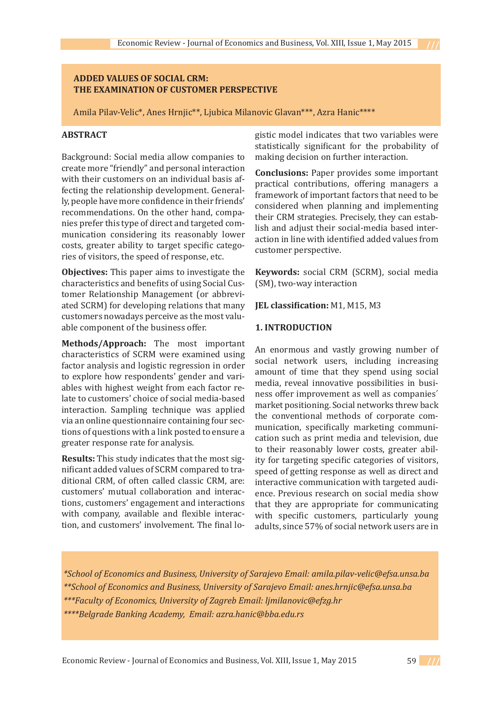## **ADDED VALUES OF SOCIAL CRM: THE EXAMINATION OF CUSTOMER PERSPECTIVE**

Amila Pilav-Velic\*, Anes Hrnjic\*\*, Ljubica Milanovic Glavan\*\*\*, Azra Hanic\*\*\*\*

## **ABSTRACT**

Background: Social media allow companies to create more "friendly" and personal interaction with their customers on an individual basis affecting the relationship development. Generally, people have more confidence in their friends' recommendations. On the other hand, companies prefer this type of direct and targeted communication considering its reasonably lower costs, greater ability to target specific categories of visitors, the speed of response, etc.

**Objectives:** This paper aims to investigate the characteristics and benefits of using Social Customer Relationship Management (or abbreviated SCRM) for developing relations that many customers nowadays perceive as the most valuable component of the business offer.

**Methods/Approach:** The most important characteristics of SCRM were examined using factor analysis and logistic regression in order to explore how respondents' gender and variables with highest weight from each factor relate to customers' choice of social media-based interaction. Sampling technique was applied via an online questionnaire containing four sections of questions with a link posted to ensure a greater response rate for analysis.

**Results:** This study indicates that the most significant added values of SCRM compared to traditional CRM, of often called classic CRM, are: customers' mutual collaboration and interactions, customers' engagement and interactions with company, available and flexible interaction, and customers' involvement. The final logistic model indicates that two variables were statistically significant for the probability of making decision on further interaction.

**Conclusions:** Paper provides some important practical contributions, offering managers a framework of important factors that need to be considered when planning and implementing their CRM strategies. Precisely, they can establish and adjust their social-media based interaction in line with identified added values from customer perspective.

**Keywords:** social CRM (SCRM), social media (SM), two-way interaction

**JEL classification:** M1, M15, M3

### **1. INTRODUCTION**

An enormous and vastly growing number of social network users, including increasing amount of time that they spend using social media, reveal innovative possibilities in business offer improvement as well as companies´ market positioning. Social networks threw back the conventional methods of corporate communication, specifically marketing communication such as print media and television, due to their reasonably lower costs, greater ability for targeting specific categories of visitors, speed of getting response as well as direct and interactive communication with targeted audience. Previous research on social media show that they are appropriate for communicating with specific customers, particularly young adults, since 57% of social network users are in

*\*School of Economics and Business, University of Sarajevo Email: amila.pilav-velic@efsa.unsa.ba \*\*School of Economics and Business, University of Sarajevo Email: anes.hrnjic@efsa.unsa.ba \*\*\*Faculty of Economics, University of Zagreb Email: ljmilanovic@efzg.hr*

*\*\*\*\*Belgrade Banking Academy, Email: azra.hanic@bba.edu.rs*

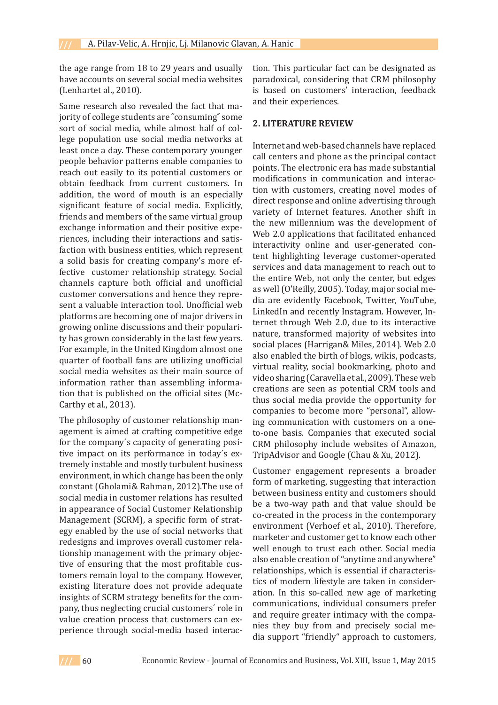the age range from 18 to 29 years and usually have accounts on several social media websites (Lenhartet al., 2010).

Same research also revealed the fact that majority of college students are ˝consuming˝ some sort of social media, while almost half of college population use social media networks at least once a day. These contemporary younger people behavior patterns enable companies to reach out easily to its potential customers or obtain feedback from current customers. In addition, the word of mouth is an especially significant feature of social media. Explicitly, friends and members of the same virtual group exchange information and their positive experiences, including their interactions and satisfaction with business entities, which represent a solid basis for creating company's more effective customer relationship strategy. Social channels capture both official and unofficial customer conversations and hence they represent a valuable interaction tool. Unofficial web platforms are becoming one of major drivers in growing online discussions and their popularity has grown considerably in the last few years. For example, in the United Kingdom almost one quarter of football fans are utilizing unofficial social media websites as their main source of information rather than assembling information that is published on the official sites (Mc-Carthy et al., 2013).

The philosophy of customer relationship management is aimed at crafting competitive edge for the company´s capacity of generating positive impact on its performance in today´s extremely instable and mostly turbulent business environment, in which change has been the only constant (Gholami& Rahman, 2012).The use of social media in customer relations has resulted in appearance of Social Customer Relationship Management (SCRM), a specific form of strategy enabled by the use of social networks that redesigns and improves overall customer relationship management with the primary objective of ensuring that the most profitable customers remain loyal to the company. However, existing literature does not provide adequate insights of SCRM strategy benefits for the company, thus neglecting crucial customers´ role in value creation process that customers can experience through social-media based interaction. This particular fact can be designated as paradoxical, considering that CRM philosophy is based on customers' interaction, feedback and their experiences.

### **2. LITERATURE REVIEW**

Internet and web-based channels have replaced call centers and phone as the principal contact points. The electronic era has made substantial modifications in communication and interaction with customers, creating novel modes of direct response and online advertising through variety of Internet features. Another shift in the new millennium was the development of Web 2.0 applications that facilitated enhanced interactivity online and user-generated content highlighting leverage customer-operated services and data management to reach out to the entire Web, not only the center, but edges as well (O'Reilly, 2005). Today, major social media are evidently Facebook, Twitter, YouTube, LinkedIn and recently Instagram. However, Internet through Web 2.0, due to its interactive nature, transformed majority of websites into social places (Harrigan& Miles, 2014). Web 2.0 also enabled the birth of blogs, wikis, podcasts, virtual reality, social bookmarking, photo and video sharing (Caravella et al., 2009). These web creations are seen as potential CRM tools and thus social media provide the opportunity for companies to become more "personal", allowing communication with customers on a oneto-one basis. Companies that executed social CRM philosophy include websites of Amazon, TripAdvisor and Google (Chau & Xu, 2012).

Customer engagement represents a broader form of marketing, suggesting that interaction between business entity and customers should be a two-way path and that value should be co-created in the process in the contemporary environment (Verhoef et al., 2010). Therefore, marketer and customer get to know each other well enough to trust each other. Social media also enable creation of "anytime and anywhere" relationships, which is essential if characteristics of modern lifestyle are taken in consideration. In this so-called new age of marketing communications, individual consumers prefer and require greater intimacy with the companies they buy from and precisely social media support "friendly" approach to customers,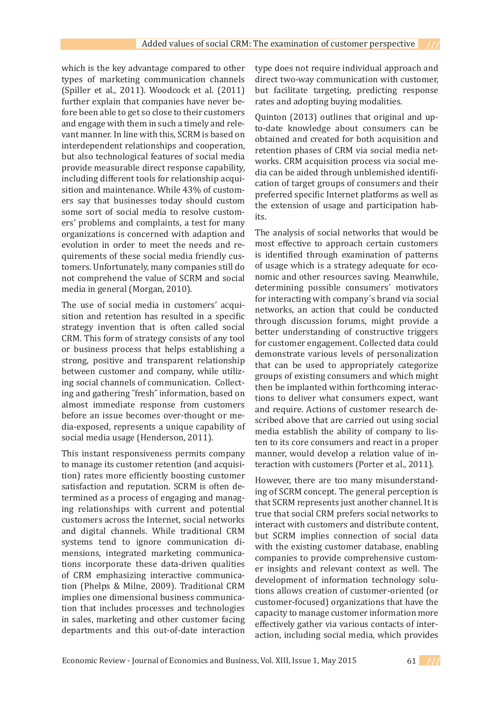which is the key advantage compared to other types of marketing communication channels (Spiller et al., 2011). Woodcock et al. (2011) further explain that companies have never before been able to get so close to their customers and engage with them in such a timely and relevant manner. In line with this, SCRM is based on interdependent relationships and cooperation, but also technological features of social media provide measurable direct response capability, including different tools for relationship acquisition and maintenance. While 43% of customers say that businesses today should custom some sort of social media to resolve customers' problems and complaints, a test for many organizations is concerned with adaption and evolution in order to meet the needs and requirements of these social media friendly customers. Unfortunately, many companies still do not comprehend the value of SCRM and social media in general (Morgan, 2010).

The use of social media in customers' acquisition and retention has resulted in a specific strategy invention that is often called social CRM. This form of strategy consists of any tool or business process that helps establishing a strong, positive and transparent relationship between customer and company, while utilizing social channels of communication. Collecting and gathering ˝fresh˝ information, based on almost immediate response from customers before an issue becomes over-thought or media-exposed, represents a unique capability of social media usage (Henderson, 2011).

This instant responsiveness permits company to manage its customer retention (and acquisition) rates more efficiently boosting customer satisfaction and reputation. SCRM is often determined as a process of engaging and managing relationships with current and potential customers across the Internet, social networks and digital channels. While traditional CRM systems tend to ignore communication dimensions, integrated marketing communications incorporate these data-driven qualities of CRM emphasizing interactive communication (Phelps & Milne, 2009). Traditional CRM implies one dimensional business communication that includes processes and technologies in sales, marketing and other customer facing departments and this out-of-date interaction type does not require individual approach and direct two-way communication with customer, but facilitate targeting, predicting response rates and adopting buying modalities.

Quinton (2013) outlines that original and upto-date knowledge about consumers can be obtained and created for both acquisition and retention phases of CRM via social media networks. CRM acquisition process via social media can be aided through unblemished identification of target groups of consumers and their preferred specific Internet platforms as well as the extension of usage and participation habits.

The analysis of social networks that would be most effective to approach certain customers is identified through examination of patterns of usage which is a strategy adequate for economic and other resources saving. Meanwhile, determining possible consumers´ motivators for interacting with company´s brand via social networks, an action that could be conducted through discussion forums, might provide a better understanding of constructive triggers for customer engagement. Collected data could demonstrate various levels of personalization that can be used to appropriately categorize groups of existing consumers and which might then be implanted within forthcoming interactions to deliver what consumers expect, want and require. Actions of customer research described above that are carried out using social media establish the ability of company to listen to its core consumers and react in a proper manner, would develop a relation value of interaction with customers (Porter et al., 2011).

However, there are too many misunderstanding of SCRM concept. The general perception is that SCRM represents just another channel. It is true that social CRM prefers social networks to interact with customers and distribute content, but SCRM implies connection of social data with the existing customer database, enabling companies to provide comprehensive customer insights and relevant context as well. The development of information technology solutions allows creation of customer-oriented (or customer-focused) organizations that have the capacity to manage customer information more effectively gather via various contacts of interaction, including social media, which provides

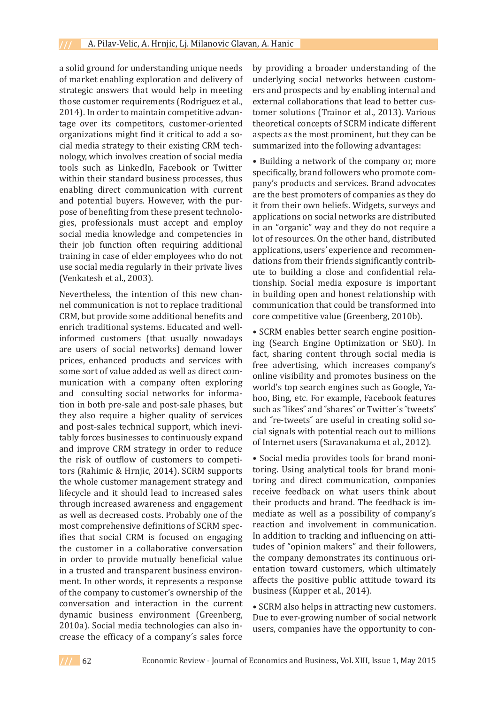a solid ground for understanding unique needs of market enabling exploration and delivery of strategic answers that would help in meeting those customer requirements (Rodriguez et al., 2014). In order to maintain competitive advantage over its competitors, customer-oriented organizations might find it critical to add a social media strategy to their existing CRM technology, which involves creation of social media tools such as LinkedIn, Facebook or Twitter within their standard business processes, thus enabling direct communication with current and potential buyers. However, with the purpose of benefiting from these present technologies, professionals must accept and employ social media knowledge and competencies in their job function often requiring additional training in case of elder employees who do not use social media regularly in their private lives (Venkatesh et al., 2003).

Nevertheless, the intention of this new channel communication is not to replace traditional CRM, but provide some additional benefits and enrich traditional systems. Educated and wellinformed customers (that usually nowadays are users of social networks) demand lower prices, enhanced products and services with some sort of value added as well as direct communication with a company often exploring and consulting social networks for information in both pre-sale and post-sale phases, but they also require a higher quality of services and post-sales technical support, which inevitably forces businesses to continuously expand and improve CRM strategy in order to reduce the risk of outflow of customers to competitors (Rahimic & Hrnjic, 2014). SCRM supports the whole customer management strategy and lifecycle and it should lead to increased sales through increased awareness and engagement as well as decreased costs. Probably one of the most comprehensive definitions of SCRM specifies that social CRM is focused on engaging the customer in a collaborative conversation in order to provide mutually beneficial value in a trusted and transparent business environment. In other words, it represents a response of the company to customer's ownership of the conversation and interaction in the current dynamic business environment (Greenberg, 2010a). Social media technologies can also increase the efficacy of a company´s sales force by providing a broader understanding of the underlying social networks between customers and prospects and by enabling internal and external collaborations that lead to better customer solutions (Trainor et al., 2013). Various theoretical concepts of SCRM indicate different aspects as the most prominent, but they can be summarized into the following advantages:

• Building a network of the company or, more specifically, brand followers who promote company's products and services. Brand advocates are the best promoters of companies as they do it from their own beliefs. Widgets, surveys and applications on social networks are distributed in an "organic" way and they do not require a lot of resources. On the other hand, distributed applications, users' experience and recommendations from their friends significantly contribute to building a close and confidential relationship. Social media exposure is important in building open and honest relationship with communication that could be transformed into core competitive value (Greenberg, 2010b).

• SCRM enables better search engine positioning (Search Engine Optimization or SEO). In fact, sharing content through social media is free advertising, which increases company's online visibility and promotes business on the world's top search engines such as Google, Yahoo, Bing, etc. For example, Facebook features such as "likes" and "shares" or Twitter's "tweets" and ˝re-tweets˝ are useful in creating solid social signals with potential reach out to millions of Internet users (Saravanakuma et al., 2012).

• Social media provides tools for brand monitoring. Using analytical tools for brand monitoring and direct communication, companies receive feedback on what users think about their products and brand. The feedback is immediate as well as a possibility of company's reaction and involvement in communication. In addition to tracking and influencing on attitudes of "opinion makers" and their followers, the company demonstrates its continuous orientation toward customers, which ultimately affects the positive public attitude toward its business (Kupper et al., 2014).

• SCRM also helps in attracting new customers. Due to ever-growing number of social network users, companies have the opportunity to con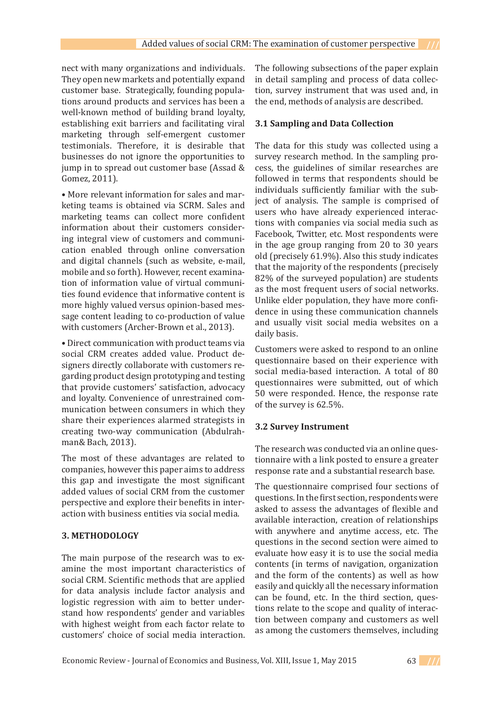nect with many organizations and individuals. They open new markets and potentially expand customer base. Strategically, founding populations around products and services has been a well-known method of building brand loyalty, establishing exit barriers and facilitating viral marketing through self-emergent customer testimonials. Therefore, it is desirable that businesses do not ignore the opportunities to jump in to spread out customer base (Assad & Gomez, 2011).

• More relevant information for sales and marketing teams is obtained via SCRM. Sales and marketing teams can collect more confident information about their customers considering integral view of customers and communication enabled through online conversation and digital channels (such as website, e-mail, mobile and so forth). However, recent examination of information value of virtual communities found evidence that informative content is more highly valued versus opinion-based message content leading to co-production of value with customers (Archer-Brown et al., 2013).

• Direct communication with product teams via social CRM creates added value. Product designers directly collaborate with customers regarding product design prototyping and testing that provide customers' satisfaction, advocacy and loyalty. Convenience of unrestrained communication between consumers in which they share their experiences alarmed strategists in creating two-way communication (Abdulrahman& Bach, 2013).

The most of these advantages are related to companies, however this paper aims to address this gap and investigate the most significant added values of social CRM from the customer perspective and explore their benefits in interaction with business entities via social media.

# **3. METHODOLOGY**

The main purpose of the research was to examine the most important characteristics of social CRM. Scientific methods that are applied for data analysis include factor analysis and logistic regression with aim to better understand how respondents' gender and variables with highest weight from each factor relate to customers' choice of social media interaction. The following subsections of the paper explain in detail sampling and process of data collection, survey instrument that was used and, in the end, methods of analysis are described.

## **3.1 Sampling and Data Collection**

The data for this study was collected using a survey research method. In the sampling process, the guidelines of similar researches are followed in terms that respondents should be individuals sufficiently familiar with the subject of analysis. The sample is comprised of users who have already experienced interactions with companies via social media such as Facebook, Twitter, etc. Most respondents were in the age group ranging from 20 to 30 years old (precisely 61.9%). Also this study indicates that the majority of the respondents (precisely 82% of the surveyed population) are students as the most frequent users of social networks. Unlike elder population, they have more confidence in using these communication channels and usually visit social media websites on a daily basis.

Customers were asked to respond to an online questionnaire based on their experience with social media-based interaction. A total of 80 questionnaires were submitted, out of which 50 were responded. Hence, the response rate of the survey is 62.5%.

# **3.2 Survey Instrument**

The research was conducted via an online questionnaire with a link posted to ensure a greater response rate and a substantial research base.

The questionnaire comprised four sections of questions. In the first section, respondents were asked to assess the advantages of flexible and available interaction, creation of relationships with anywhere and anytime access, etc. The questions in the second section were aimed to evaluate how easy it is to use the social media contents (in terms of navigation, organization and the form of the contents) as well as how easily and quickly all the necessary information can be found, etc. In the third section, questions relate to the scope and quality of interaction between company and customers as well as among the customers themselves, including

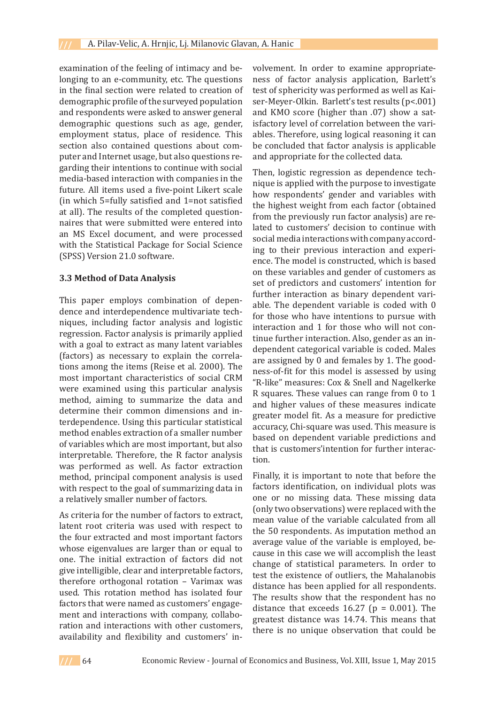examination of the feeling of intimacy and belonging to an e-community, etc. The questions in the final section were related to creation of demographic profile of the surveyed population and respondents were asked to answer general demographic questions such as age, gender, employment status, place of residence. This section also contained questions about computer and Internet usage, but also questions regarding their intentions to continue with social media-based interaction with companies in the future. All items used a five-point Likert scale (in which 5=fully satisfied and 1=not satisfied at all). The results of the completed questionnaires that were submitted were entered into an MS Excel document, and were processed with the Statistical Package for Social Science (SPSS) Version 21.0 software.

#### **3.3 Method of Data Analysis**

This paper employs combination of dependence and interdependence multivariate techniques, including factor analysis and logistic regression. Factor analysis is primarily applied with a goal to extract as many latent variables (factors) as necessary to explain the correlations among the items (Reise et al. 2000). The most important characteristics of social CRM were examined using this particular analysis method, aiming to summarize the data and determine their common dimensions and interdependence. Using this particular statistical method enables extraction of a smaller number of variables which are most important, but also interpretable. Therefore, the R factor analysis was performed as well. As factor extraction method, principal component analysis is used with respect to the goal of summarizing data in a relatively smaller number of factors.

As criteria for the number of factors to extract, latent root criteria was used with respect to the four extracted and most important factors whose eigenvalues are larger than or equal to one. The initial extraction of factors did not give intelligible, clear and interpretable factors, therefore orthogonal rotation – Varimax was used. This rotation method has isolated four factors that were named as customers' engagement and interactions with company, collaboration and interactions with other customers, availability and flexibility and customers' involvement. In order to examine appropriateness of factor analysis application, Barlett's test of sphericity was performed as well as Kaiser-Meyer-Olkin. Barlett's test results (p<.001) and KMO score (higher than .07) show a satisfactory level of correlation between the variables. Therefore, using logical reasoning it can be concluded that factor analysis is applicable and appropriate for the collected data.

Then, logistic regression as dependence technique is applied with the purpose to investigate how respondents' gender and variables with the highest weight from each factor (obtained from the previously run factor analysis) are related to customers' decision to continue with social media interactions with company according to their previous interaction and experience. The model is constructed, which is based on these variables and gender of customers as set of predictors and customers' intention for further interaction as binary dependent variable. The dependent variable is coded with 0 for those who have intentions to pursue with interaction and 1 for those who will not continue further interaction. Also, gender as an independent categorical variable is coded. Males are assigned by 0 and females by 1. The goodness-of-fit for this model is assessed by using "R-like" measures: Cox & Snell and Nagelkerke R squares. These values can range from 0 to 1 and higher values of these measures indicate greater model fit. As a measure for predictive accuracy, Chi-square was used. This measure is based on dependent variable predictions and that is customers'intention for further interaction.

Finally, it is important to note that before the factors identification, on individual plots was one or no missing data. These missing data (only two observations) were replaced with the mean value of the variable calculated from all the 50 respondents. As imputation method an average value of the variable is employed, because in this case we will accomplish the least change of statistical parameters. In order to test the existence of outliers, the Mahalanobis distance has been applied for all respondents. The results show that the respondent has no distance that exceeds  $16.27$  (p = 0.001). The greatest distance was 14.74. This means that there is no unique observation that could be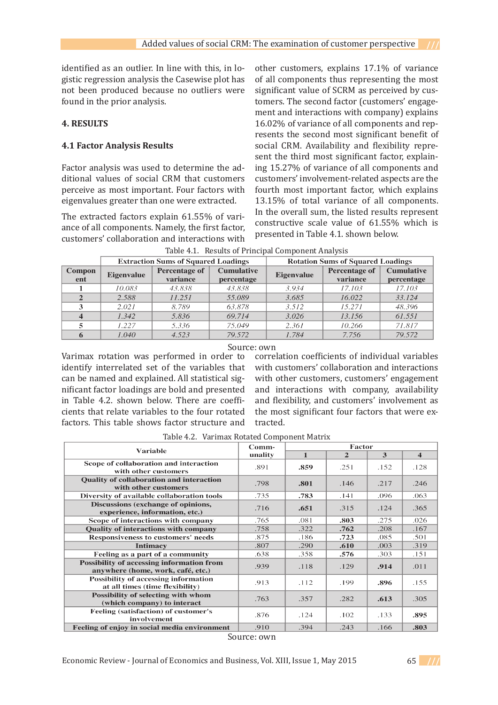identified as an outlier. In line with this, in logistic regression analysis the Casewise plot has not been produced because no outliers were found in the prior analysis.

# **4. RESULTS**

## **4.1 Factor Analysis Results**

Factor analysis was used to determine the additional values of social CRM that customers perceive as most important. Four factors with eigenvalues greater than one were extracted.

The extracted factors explain 61.55% of variance of all components. Namely, the first factor, customers' collaboration and interactions with other customers, explains 17.1% of variance of all components thus representing the most significant value of SCRM as perceived by customers. The second factor (customers' engagement and interactions with company) explains 16.02% of variance of all components and represents the second most significant benefit of social CRM. Availability and flexibility represent the third most significant factor, explaining 15.27% of variance of all components and customers' involvement-related aspects are the fourth most important factor, which explains 13.15% of total variance of all components. In the overall sum, the listed results represent constructive scale value of 61.55% which is presented in Table 4.1. shown below.

|               | <b>Extraction Sums of Squared Loadings</b> |                                  |                                 | <b>Rotation Sums of Squared Loadings</b> |                                  |                                 |  |
|---------------|--------------------------------------------|----------------------------------|---------------------------------|------------------------------------------|----------------------------------|---------------------------------|--|
| Compon<br>ent | <b>Eigenvalue</b>                          | <b>Percentage of</b><br>variance | <b>Cumulative</b><br>percentage | <b>Eigenvalue</b>                        | <b>Percentage of</b><br>variance | <b>Cumulative</b><br>percentage |  |
|               | 10.083                                     | 43.838                           | 43.838                          | 3.934                                    | 17.103                           | 17.103                          |  |
| $\mathbf{2}$  | 2.588                                      | 11.251                           | 55.089                          | 3.685                                    | 16.022                           | 33.124                          |  |
| 3             | 2.021                                      | 8.789                            | 63.878                          | 3.512                                    | 15.271                           | 48.396                          |  |
|               | 1.342                                      | 5.836                            | 69.714                          | 3.026                                    | 13.156                           | 61.551                          |  |
|               | 1.227                                      | 5.336                            | 75.049                          | 2.361                                    | 10.266                           | 71.817                          |  |
|               | 1.040                                      | 4.523                            | 79.572                          | 1.784                                    | 7.756                            | 79.572                          |  |

Table 4.1. Results of Principal Component Analysis

#### Source: own

Varimax rotation was performed in order to identify interrelated set of the variables that can be named and explained. All statistical significant factor loadings are bold and presented in Table 4.2. shown below. There are coefficients that relate variables to the four rotated factors. This table shows factor structure and

correlation coefficients of individual variables with customers' collaboration and interactions with other customers, customers' engagement and interactions with company, availability and flexibility, and customers' involvement as the most significant four factors that were extracted.

| <b>Variable</b>                                                                       | Comm-   | Factor       |                |      |                         |
|---------------------------------------------------------------------------------------|---------|--------------|----------------|------|-------------------------|
|                                                                                       | unality | $\mathbf{1}$ | $\overline{2}$ | 3    | $\overline{\mathbf{4}}$ |
| Scope of collaboration and interaction<br>with other customers                        | .891    | .859         | .251           | .152 | .128                    |
| <b>Quality of collaboration and interaction</b><br>with other customers               | .798    | .801         | .146           | .217 | .246                    |
| Diversity of available collaboration tools                                            | .735    | .783         | .141           | .096 | .063                    |
| Discussions (exchange of opinions,<br>experience, information, etc.)                  | .716    | .651         | .315           | .124 | .365                    |
| Scope of interactions with company                                                    | .765    | .081         | .803           | .275 | .026                    |
| <b>Quality of interactions with company</b>                                           | .758    | .322         | .762           | .208 | .167                    |
| <b>Responsiveness to customers' needs</b>                                             | .875    | .186         | .723           | .085 | .501                    |
| <b>Intimacy</b>                                                                       | .807    | .290         | .610           | .003 | .319                    |
| Feeling as a part of a community                                                      | .638    | .358         | .576           | .303 | .151                    |
| <b>Possibility of accessing information from</b><br>anywhere (home, work, café, etc.) | .939    | .118         | .129           | .914 | .011                    |
| <b>Possibility of accessing information</b><br>at all times (time flexibility)        | .913    | .112         | .199           | .896 | .155                    |
| Possibility of selecting with whom<br>(which company) to interact                     | .763    | .357         | .282           | .613 | .305                    |
| Feeling (satisfaction) of customer's<br>involvement                                   | .876    | .124         | .102           | .133 | .895                    |
| Feeling of enjoy in social media environment                                          | .910    | .394         | .243           | .166 | .803                    |

Table 4.2. Varimax Rotated Component Matrix

Source: own

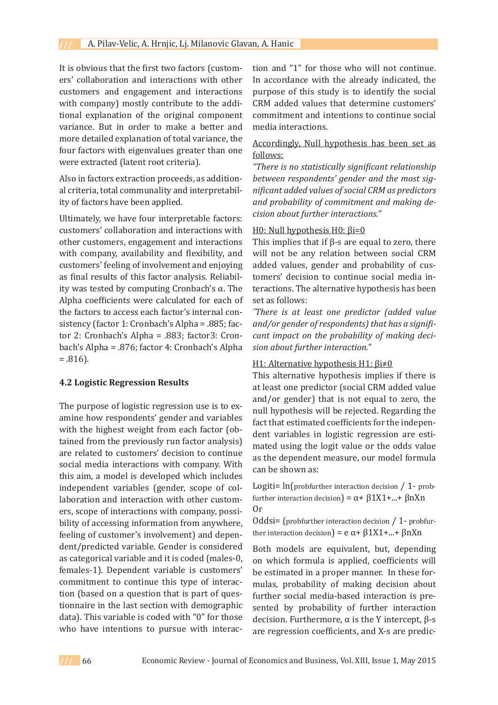It is obvious that the first two factors (customers' collaboration and interactions with other customers and engagement and interactions with company) mostly contribute to the additional explanation of the original component variance. But in order to make a better and more detailed explanation of total variance, the four factors with eigenvalues greater than one were extracted (latent root criteria).

Also in factors extraction proceeds, as additional criteria, total communality and interpretability of factors have been applied.

Ultimately, we have four interpretable factors: customers' collaboration and interactions with other customers, engagement and interactions with company, availability and flexibility, and customers' feeling of involvement and enjoying as final results of this factor analysis. Reliability was tested by computing Cronbach's α. The Alpha coefficients were calculated for each of the factors to access each factor's internal consistency (factor 1: Cronbach's Alpha = .885; factor 2: Cronbach's Alpha = .883; factor3: Cronbach's Alpha = .876; factor 4: Cronbach's Alpha = .816).

## **4.2 Logistic Regression Results**

The purpose of logistic regression use is to examine how respondents' gender and variables with the highest weight from each factor (obtained from the previously run factor analysis) are related to customers' decision to continue social media interactions with company. With this aim, a model is developed which includes independent variables (gender, scope of collaboration and interaction with other customers, scope of interactions with company, possibility of accessing information from anywhere, feeling of customer's involvement) and dependent/predicted variable. Gender is considered as categorical variable and it is coded (males-0, females-1). Dependent variable is customers' commitment to continue this type of interaction (based on a question that is part of questionnaire in the last section with demographic data). This variable is coded with "0" for those who have intentions to pursue with interaction and "1" for those who will not continue. In accordance with the already indicated, the purpose of this study is to identify the social CRM added values that determine customers' commitment and intentions to continue social media interactions.

## Accordingly, Null hypothesis has been set as follows:

*"There is no statistically significant relationship between respondents' gender and the most significant added values of social CRM as predictors and probability of commitment and making decision about further interactions."*

## H0: Null hypothesis H0: βi=0

This implies that if  $β$ -s are equal to zero, there will not be any relation between social CRM added values, gender and probability of customers' decision to continue social media interactions. The alternative hypothesis has been set as follows:

*˝There is at least one predictor (added value and/or gender of respondents) that has a significant impact on the probability of making decision about further interaction."*

## H1: Alternative hypothesis H1: βi≠0

This alternative hypothesis implies if there is at least one predictor (social CRM added value and/or gender) that is not equal to zero, the null hypothesis will be rejected. Regarding the fact that estimated coefficients for the independent variables in logistic regression are estimated using the logit value or the odds value as the dependent measure, our model formula can be shown as:

Logiti=  $ln(probfurther interaction decision / 1-prob$ further interaction decision) = α+ β1X1+...+ βnXn Or

Oddsi= (probfurther interaction decision  $/ 1$ - probfurther interaction decision) = e  $\alpha$ + β1X1+...+ βnXn

Both models are equivalent, but, depending on which formula is applied, coefficients will be estimated in a proper manner. In these formulas, probability of making decision about further social media-based interaction is presented by probability of further interaction decision. Furthermore, α is the Y intercept, β-s are regression coefficients, and X-s are predic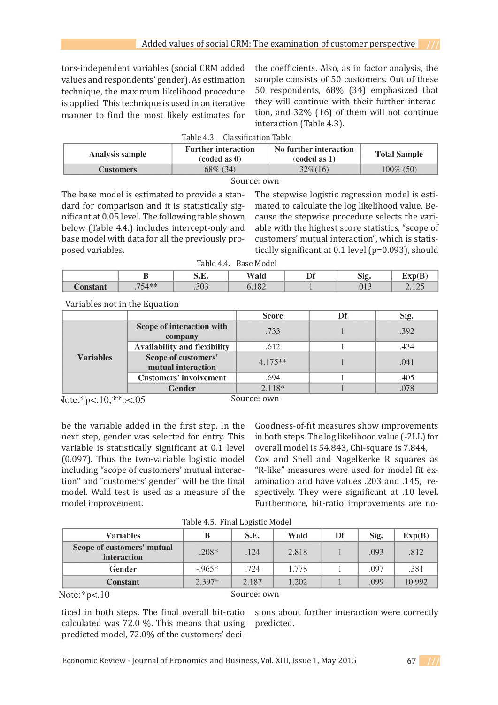tors-independent variables (social CRM added values and respondents' gender). As estimation technique, the maximum likelihood procedure is applied. This technique is used in an iterative manner to find the most likely estimates for the coefficients. Also, as in factor analysis, the sample consists of 50 customers. Out of these 50 respondents, 68% (34) emphasized that they will continue with their further interaction, and 32% (16) of them will not continue interaction (Table 4.3).

| Table 4.3. Classification Table                                                                                                  |             |           |              |  |  |  |
|----------------------------------------------------------------------------------------------------------------------------------|-------------|-----------|--------------|--|--|--|
| No further interaction<br><b>Further interaction</b><br>Analysis sample<br><b>Total Sample</b><br>$(coded as 0)$<br>(coded as 1) |             |           |              |  |  |  |
| <b>Customers</b>                                                                                                                 | $68\%$ (34) | $32\%/16$ | $100\%$ (50) |  |  |  |
|                                                                                                                                  |             |           |              |  |  |  |

### Source: own

The base model is estimated to provide a standard for comparison and it is statistically significant at 0.05 level. The following table shown below (Table 4.4.) includes intercept-only and base model with data for all the previously proposed variables.

The stepwise logistic regression model is estimated to calculate the log likelihood value. Because the stepwise procedure selects the variable with the highest score statistics, "scope of customers' mutual interaction", which is statistically significant at 0.1 level (p=0.093), should

Table 4.4. Base Model

|                | --<br>   | J•L'•       | Wald                       | ĎР<br>. . | $\sim$<br>- 10<br>OIL.                     | $\sim$<br><b>WEYWA !</b>                                        |
|----------------|----------|-------------|----------------------------|-----------|--------------------------------------------|-----------------------------------------------------------------|
| $n^{n}$<br>ant | $751$ ** | 201<br>.JUS | 10 <sup>o</sup><br>J. 1 ∪∠ |           | 0.1 <sup>0</sup><br>$\cdot$ $\cup$ $\cdot$ | $\sim$<br>$\overline{\phantom{a}}$ . 1 $\overline{\phantom{a}}$ |

Variables not in the Equation

|                  |                                           | <b>Score</b> | Df | Sig. |
|------------------|-------------------------------------------|--------------|----|------|
|                  | Scope of interaction with<br>company      | .733         |    | .392 |
|                  | Availability and flexibility              | .612         |    | .434 |
| <b>Variables</b> | Scope of customers'<br>mutual interaction | $4.175**$    |    | .041 |
|                  | <b>Customers' involvement</b>             | .694         |    | .405 |
|                  | Gender                                    | $2.118*$     |    | .078 |

 $\text{Note:}^* \text{p} < 10, ^* \text{p} < 05$ 

Source: own

be the variable added in the first step. In the next step, gender was selected for entry. This variable is statistically significant at 0.1 level (0.097). Thus the two-variable logistic model including "scope of customers' mutual interaction" and ˝customers' gender˝ will be the final model. Wald test is used as a measure of the model improvement.

Goodness-of-fit measures show improvements in both steps. The log likelihood value (-2LL) for overall model is 54.843, Chi-square is 7.844,

Cox and Snell and Nagelkerke R squares as "R-like" measures were used for model fit examination and have values .203 and .145, respectively. They were significant at .10 level. Furthermore, hit-ratio improvements are no-

| $10010$ $101$ $11001$ $10000$                                                                                |          |       |       |    |      |        |  |
|--------------------------------------------------------------------------------------------------------------|----------|-------|-------|----|------|--------|--|
| <b>Variables</b>                                                                                             |          | S.E.  | Wald  | Df | Sig. | Exp(B) |  |
| Scope of customers' mutual<br>interaction                                                                    | $-.208*$ | .124  | 2.818 |    | .093 | .812   |  |
| Gender                                                                                                       | $-965*$  | .724  | 1.778 |    | .097 | .381   |  |
| <b>Constant</b>                                                                                              | $2.397*$ | 2.187 | 1.202 |    | .099 | 10.992 |  |
| $\mathbf{M}$ . $\mathbf{M}$ . $\mathbf{M}$ . $\mathbf{M}$<br>$C_{\text{source}}$ $\rightarrow$ $\rightarrow$ |          |       |       |    |      |        |  |

Table 4.5. Final Logistic Model

Note: $*p<.10$ 

Source: own

ticed in both steps. The final overall hit-ratio calculated was 72.0 %. This means that using predicted model, 72.0% of the customers' deci-

sions about further interaction were correctly predicted.

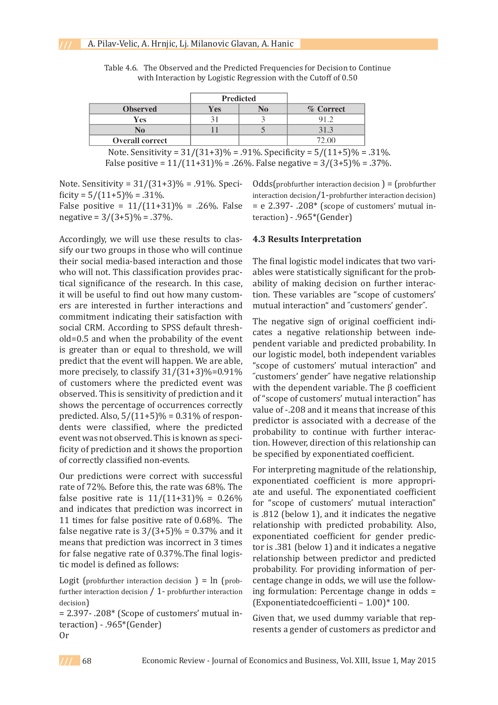|                                                                                                  |     | <b>Predicted</b> |           |  |  |
|--------------------------------------------------------------------------------------------------|-----|------------------|-----------|--|--|
| <b>Observed</b>                                                                                  | Yes | No               | % Correct |  |  |
| Yes                                                                                              |     |                  | 91.2      |  |  |
| No                                                                                               |     |                  | 31.3      |  |  |
| <b>Overall correct</b>                                                                           |     |                  | 72.00     |  |  |
| $0.4$ $100.4$ $0.201$<br>$\sim$ $\sim$<br>$P ICAA$ $P \cap A$<br>$0.401$ $0.00$<br>$\cdots$<br>. |     |                  |           |  |  |

Table 4.6. The Observed and the Predicted Frequencies for Decision to Continue with Interaction by Logistic Regression with the Cutoff of 0.50

Note. Sensitivity =  $31/(31+3)\%$  = .91%. Specificity =  $5/(11+5)\%$  = .31%. False positive =  $11/(11+31)\%$  = .26%. False negative =  $3/(3+5)\%$  = .37%.

Note. Sensitivity =  $31/(31+3)\%$  = .91%. Specificity =  $5/(11+5)\%$  = .31%.

False positive =  $11/(11+31)\%$  = .26%. False negative =  $3/(3+5)\%$  = .37%.

Accordingly, we will use these results to classify our two groups in those who will continue their social media-based interaction and those who will not. This classification provides practical significance of the research. In this case, it will be useful to find out how many customers are interested in further interactions and commitment indicating their satisfaction with social CRM. According to SPSS default threshold=0.5 and when the probability of the event is greater than or equal to threshold, we will predict that the event will happen. We are able, more precisely, to classify  $31/(31+3)\% = 0.91\%$ of customers where the predicted event was observed. This is sensitivity of prediction and it shows the percentage of occurrences correctly predicted. Also,  $5/(11+5)\% = 0.31\%$  of respondents were classified, where the predicted event was not observed. This is known as specificity of prediction and it shows the proportion of correctly classified non-events.

Our predictions were correct with successful rate of 72%. Before this, the rate was 68%. The false positive rate is  $11/(11+31)\% = 0.26\%$ and indicates that prediction was incorrect in 11 times for false positive rate of 0.68%. The false negative rate is  $3/(3+5)\% = 0.37\%$  and it means that prediction was incorrect in 3 times for false negative rate of 0.37%.The final logistic model is defined as follows:

Logit (probfurther interaction decision ) =  $\ln$  (probfurther interaction decision / 1- probfurther interaction decision)

= 2.397- .208\* (Scope of customers' mutual interaction) - .965\*(Gender) Or

 $Odds(problem) = (problem)$ interaction decision/1-probfurther interaction decision)  $= e 2.397 - 0.208*$  (scope of customers' mutual interaction) - .965\*(Gender)

### **4.3 Results Interpretation**

The final logistic model indicates that two variables were statistically significant for the probability of making decision on further interaction. These variables are "scope of customers' mutual interaction" and ˝customers' gender˝.

The negative sign of original coefficient indicates a negative relationship between independent variable and predicted probability. In our logistic model, both independent variables "scope of customers' mutual interaction" and ˝customers' gender˝ have negative relationship with the dependent variable. The  $\beta$  coefficient of "scope of customers' mutual interaction" has value of -.208 and it means that increase of this predictor is associated with a decrease of the probability to continue with further interaction. However, direction of this relationship can be specified by exponentiated coefficient.

For interpreting magnitude of the relationship, exponentiated coefficient is more appropriate and useful. The exponentiated coefficient for "scope of customers' mutual interaction" is .812 (below 1), and it indicates the negative relationship with predicted probability. Also, exponentiated coefficient for gender predictor is .381 (below 1) and it indicates a negative relationship between predictor and predicted probability. For providing information of percentage change in odds, we will use the following formulation: Percentage change in odds = (Exponentiatedcoefficienti – 1.00)\* 100.

Given that, we used dummy variable that represents a gender of customers as predictor and

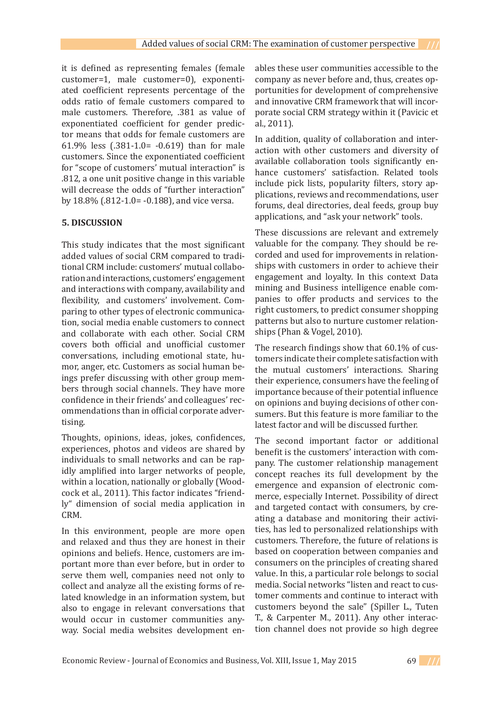it is defined as representing females (female customer=1, male customer=0), exponentiated coefficient represents percentage of the odds ratio of female customers compared to male customers. Therefore, .381 as value of exponentiated coefficient for gender predictor means that odds for female customers are 61.9% less (.381-1.0= -0.619) than for male customers. Since the exponentiated coefficient for "scope of customers' mutual interaction" is .812, a one unit positive change in this variable will decrease the odds of "further interaction" by 18.8% (.812-1.0= -0.188), and vice versa.

## **5. DISCUSSION**

This study indicates that the most significant added values of social CRM compared to traditional CRM include: customers' mutual collaboration and interactions, customers' engagement and interactions with company, availability and flexibility, and customers' involvement. Comparing to other types of electronic communication, social media enable customers to connect and collaborate with each other. Social CRM covers both official and unofficial customer conversations, including emotional state, humor, anger, etc. Customers as social human beings prefer discussing with other group members through social channels. They have more confidence in their friends' and colleagues' recommendations than in official corporate advertising.

Thoughts, opinions, ideas, jokes, confidences, experiences, photos and videos are shared by individuals to small networks and can be rapidly amplified into larger networks of people, within a location, nationally or globally (Woodcock et al., 2011). This factor indicates "friendly" dimension of social media application in CRM.

In this environment, people are more open and relaxed and thus they are honest in their opinions and beliefs. Hence, customers are important more than ever before, but in order to serve them well, companies need not only to collect and analyze all the existing forms of related knowledge in an information system, but also to engage in relevant conversations that would occur in customer communities anyway. Social media websites development enables these user communities accessible to the company as never before and, thus, creates opportunities for development of comprehensive and innovative CRM framework that will incorporate social CRM strategy within it (Pavicic et al., 2011).

In addition, quality of collaboration and interaction with other customers and diversity of available collaboration tools significantly enhance customers' satisfaction. Related tools include pick lists, popularity filters, story applications, reviews and recommendations, user forums, deal directories, deal feeds, group buy applications, and "ask your network" tools.

These discussions are relevant and extremely valuable for the company. They should be recorded and used for improvements in relationships with customers in order to achieve their engagement and loyalty. In this context Data mining and Business intelligence enable companies to offer products and services to the right customers, to predict consumer shopping patterns but also to nurture customer relationships (Phan & Vogel, 2010).

The research findings show that 60.1% of customers indicate their complete satisfaction with the mutual customers' interactions. Sharing their experience, consumers have the feeling of importance because of their potential influence on opinions and buying decisions of other consumers. But this feature is more familiar to the latest factor and will be discussed further.

The second important factor or additional benefit is the customers' interaction with company. The customer relationship management concept reaches its full development by the emergence and expansion of electronic commerce, especially Internet. Possibility of direct and targeted contact with consumers, by creating a database and monitoring their activities, has led to personalized relationships with customers. Therefore, the future of relations is based on cooperation between companies and consumers on the principles of creating shared value. In this, a particular role belongs to social media. Social networks "listen and react to customer comments and continue to interact with customers beyond the sale" (Spiller L., Tuten T., & Carpenter M., 2011). Any other interaction channel does not provide so high degree

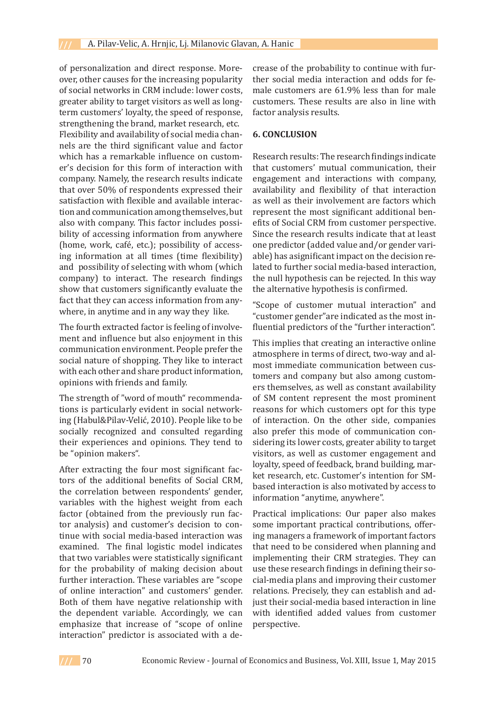of personalization and direct response. Moreover, other causes for the increasing popularity of social networks in CRM include: lower costs, greater ability to target visitors as well as longterm customers' loyalty, the speed of response, strengthening the brand, market research, etc. Flexibility and availability of social media channels are the third significant value and factor which has a remarkable influence on customer's decision for this form of interaction with company. Namely, the research results indicate that over 50% of respondents expressed their satisfaction with flexible and available interaction and communication among themselves, but also with company. This factor includes possibility of accessing information from anywhere (home, work, café, etc.); possibility of accessing information at all times (time flexibility) and possibility of selecting with whom (which company) to interact. The research findings show that customers significantly evaluate the fact that they can access information from anywhere, in anytime and in any way they like.

The fourth extracted factor is feeling of involvement and influence but also enjoyment in this communication environment. People prefer the social nature of shopping. They like to interact with each other and share product information, opinions with friends and family.

The strength of "word of mouth" recommendations is particularly evident in social networking (Habul&Pilav-Velić, 2010). People like to be socially recognized and consulted regarding their experiences and opinions. They tend to be "opinion makers".

After extracting the four most significant factors of the additional benefits of Social CRM, the correlation between respondents' gender, variables with the highest weight from each factor (obtained from the previously run factor analysis) and customer's decision to continue with social media-based interaction was examined. The final logistic model indicates that two variables were statistically significant for the probability of making decision about further interaction. These variables are "scope of online interaction" and customers' gender. Both of them have negative relationship with the dependent variable. Accordingly, we can emphasize that increase of "scope of online interaction" predictor is associated with a decrease of the probability to continue with further social media interaction and odds for female customers are 61.9% less than for male customers. These results are also in line with factor analysis results.

## **6. CONCLUSION**

Research results: The research findings indicate that customers' mutual communication, their engagement and interactions with company, availability and flexibility of that interaction as well as their involvement are factors which represent the most significant additional benefits of Social CRM from customer perspective. Since the research results indicate that at least one predictor (added value and/or gender variable) has asignificant impact on the decision related to further social media-based interaction, the null hypothesis can be rejected. In this way the alternative hypothesis is confirmed.

"Scope of customer mutual interaction" and "customer gender"are indicated as the most influential predictors of the "further interaction".

This implies that creating an interactive online atmosphere in terms of direct, two-way and almost immediate communication between customers and company but also among customers themselves, as well as constant availability of SM content represent the most prominent reasons for which customers opt for this type of interaction. On the other side, companies also prefer this mode of communication considering its lower costs, greater ability to target visitors, as well as customer engagement and loyalty, speed of feedback, brand building, market research, etc. Customer's intention for SMbased interaction is also motivated by access to information "anytime, anywhere".

Practical implications: Our paper also makes some important practical contributions, offering managers a framework of important factors that need to be considered when planning and implementing their CRM strategies. They can use these research findings in defining their social-media plans and improving their customer relations. Precisely, they can establish and adjust their social-media based interaction in line with identified added values from customer perspective.

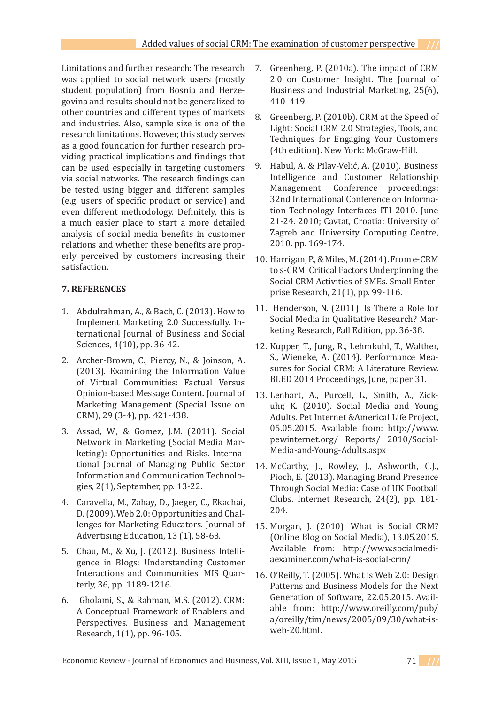Limitations and further research: The research was applied to social network users (mostly student population) from Bosnia and Herzegovina and results should not be generalized to other countries and different types of markets and industries. Also, sample size is one of the research limitations. However, this study serves as a good foundation for further research providing practical implications and findings that can be used especially in targeting customers via social networks. The research findings can be tested using bigger and different samples (e.g. users of specific product or service) and even different methodology. Definitely, this is a much easier place to start a more detailed analysis of social media benefits in customer relations and whether these benefits are properly perceived by customers increasing their satisfaction.

# **7. REFERENCES**

- Abdulrahman, A., & Bach, C. (2013). How to 1. Implement Marketing 2.0 Successfully. International Journal of Business and Social Sciences, 4(10), pp. 36-42.
- 2. Archer-Brown, C., Piercy, N., & Joinson, A. (2013). Examining the Information Value of Virtual Communities: Factual Versus Opinion-based Message Content. Journal of Marketing Management (Special Issue on CRM), 29 (3-4), pp. 421-438.
- Assad, W., & Gomez, J.M. (2011). Social 3. Network in Marketing (Social Media Marketing): Opportunities and Risks. International Journal of Managing Public Sector Information and Communication Technologies, 2(1), September, pp. 13-22.
- Caravella, M., Zahay, D., Jaeger, C., Ekachai, 4. D. (2009). Web 2.0: Opportunities and Challenges for Marketing Educators. Journal of Advertising Education, 13 (1), 58-63.
- Chau, M., & Xu, J. (2012). Business Intelli-5. gence in Blogs: Understanding Customer Interactions and Communities. MIS Quarterly, 36, pp. 1189-1216.
- Gholami, S., & Rahman, M.S. (2012). CRM: 6. A Conceptual Framework of Enablers and Perspectives. Business and Management Research, 1(1), pp. 96-105.
- Greenberg, P. (2010a). The impact of CRM 2.0 on Customer Insight. The Journal of Business and Industrial Marketing, 25(6), 410–419. 7.
- Greenberg, P. (2010b). CRM at the Speed of Light: Social CRM 2.0 Strategies, Tools, and Techniques for Engaging Your Customers (4th edition). New York: McGraw-Hill. 8.
- Habul, A. & Pilav-Velić, A. (2010). Business Intelligence and Customer Relationship Management. Conference proceedings: 32nd International Conference on Information Technology Interfaces ITI 2010. June 21-24. 2010; Cavtat, Croatia: University of Zagreb and University Computing Centre, 2010. pp. 169-174. 9.
- 10. Harrigan, P., & Miles, M. (2014). From e-CRM to s-CRM. Critical Factors Underpinning the Social CRM Activities of SMEs. Small Enterprise Research, 21(1), pp. 99-116.
- 11. Henderson, N. (2011). Is There a Role for Social Media in Qualitative Research? Marketing Research, Fall Edition, pp. 36-38.
- 12. Kupper, T., Jung, R., Lehmkuhl, T., Walther, S., Wieneke, A. (2014). Performance Measures for Social CRM: A Literature Review. BLED 2014 Proceedings, June, paper 31.
- Lenhart, A., Purcell, L., Smith, A., Zick-13. uhr, K. (2010). Social Media and Young Adults. Pet Internet &Americal Life Project, 05.05.2015. Available from: http://www. pewinternet.org/ Reports/ 2010/Social-Media-and-Young-Adults.aspx
- 14. McCarthy, J., Rowley, J., Ashworth, C.J., Pioch, E. (2013). Managing Brand Presence Through Social Media: Case of UK Football Clubs. Internet Research, 24(2), pp. 181- 204.
- 15. Morgan, J. (2010). What is Social CRM? (Online Blog on Social Media), 13.05.2015. Available from: http://www.socialmediaexaminer.com/what-is-social-crm/
- 16. O'Reilly, T. (2005). What is Web 2.0: Design Patterns and Business Models for the Next Generation of Software, 22.05.2015. Available from: http://www.oreilly.com/pub/ a/oreilly/tim/news/2005/09/30/what-isweb-20.html.